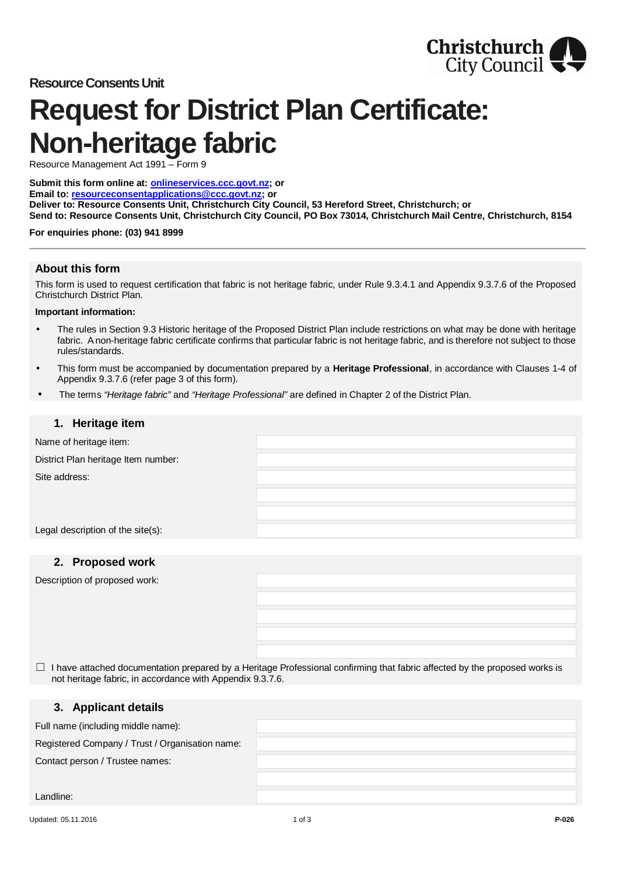



# **Request for District Plan Certificate: Non-heritage fabric**

Resource Management Act 1991 – Form 9

**Submit this form online at: [onlineservices.ccc.govt.nz;](http://onlineservices.ccc.govt.nz/) or Email to: [resourceconsentapplications@ccc.govt.nz;](mailto:resourceconsentapplications@ccc.govt.nz) or Deliver to: Resource Consents Unit, Christchurch City Council, 53 Hereford Street, Christchurch; or Send to: Resource Consents Unit, Christchurch City Council, PO Box 73014, Christchurch Mail Centre, Christchurch, 8154**

#### **For enquiries phone: (03) 941 8999**

## **About this form**

This form is used to request certification that fabric is not heritage fabric, under Rule 9.3.4.1 and Appendix 9.3.7.6 of the Proposed Christchurch District Plan.

#### **Important information:**

- The rules in Section 9.3 Historic heritage of the Proposed District Plan include restrictions on what may be done with heritage fabric. A non-heritage fabric certificate confirms that particular fabric is not heritage fabric, and is therefore not subject to those rules/standards.
- This form must be accompanied by documentation prepared by a **Heritage Professional**, in accordance with Clauses 1-4 of Appendix 9.3.7.6 (refer page 3 of this form).
- The terms *"Heritage fabric"* and *"Heritage Professional"* are defined in Chapter 2 of the District Plan.

### **1. Heritage item**

Name of heritage item:

District Plan heritage Item number:

Site address:

Legal description of the site(s):

## **2. Proposed work**

Description of proposed work:

 $\Box$  I have attached documentation prepared by a Heritage Professional confirming that fabric affected by the proposed works is not heritage fabric, in accordance with Appendix 9.3.7.6.

## **3. Applicant details**

Full name (including middle name):

Registered Company / Trust / Organisation name:

Contact person / Trustee names:

Landline: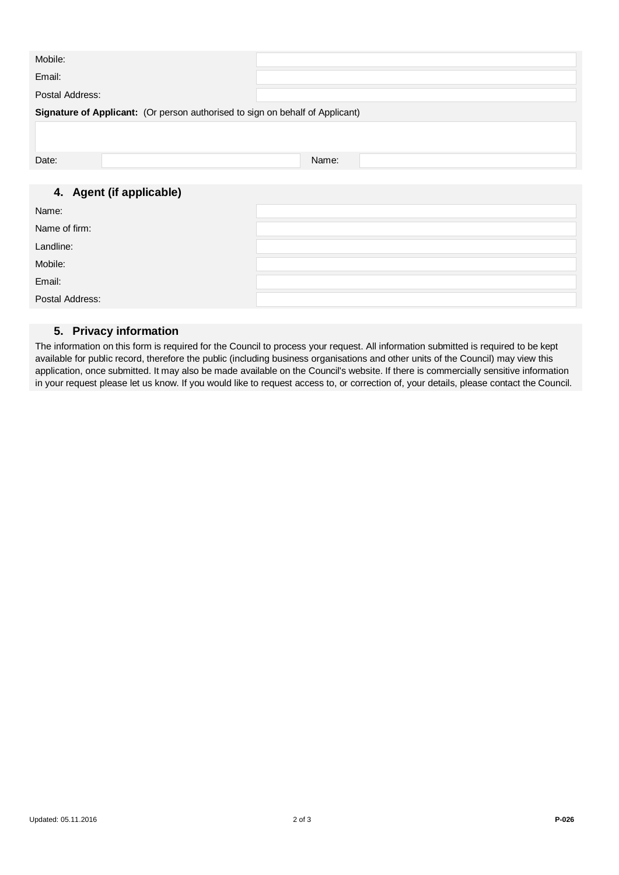| Mobile:                                                                       |       |  |  |
|-------------------------------------------------------------------------------|-------|--|--|
| Email:                                                                        |       |  |  |
| Postal Address:                                                               |       |  |  |
| Signature of Applicant: (Or person authorised to sign on behalf of Applicant) |       |  |  |
|                                                                               |       |  |  |
| Date:                                                                         | Name: |  |  |
|                                                                               |       |  |  |
| 4. Agent (if applicable)                                                      |       |  |  |
| Name:                                                                         |       |  |  |
| Name of firm:                                                                 |       |  |  |
| Landline:                                                                     |       |  |  |
| Mobile:                                                                       |       |  |  |
| Email:                                                                        |       |  |  |
| Postal Address:                                                               |       |  |  |

## **5. Privacy information**

The information on this form is required for the Council to process your request. All information submitted is required to be kept available for public record, therefore the public (including business organisations and other units of the Council) may view this application, once submitted. It may also be made available on the Council's website. If there is commercially sensitive information in your request please let us know. If you would like to request access to, or correction of, your details, please contact the Council.